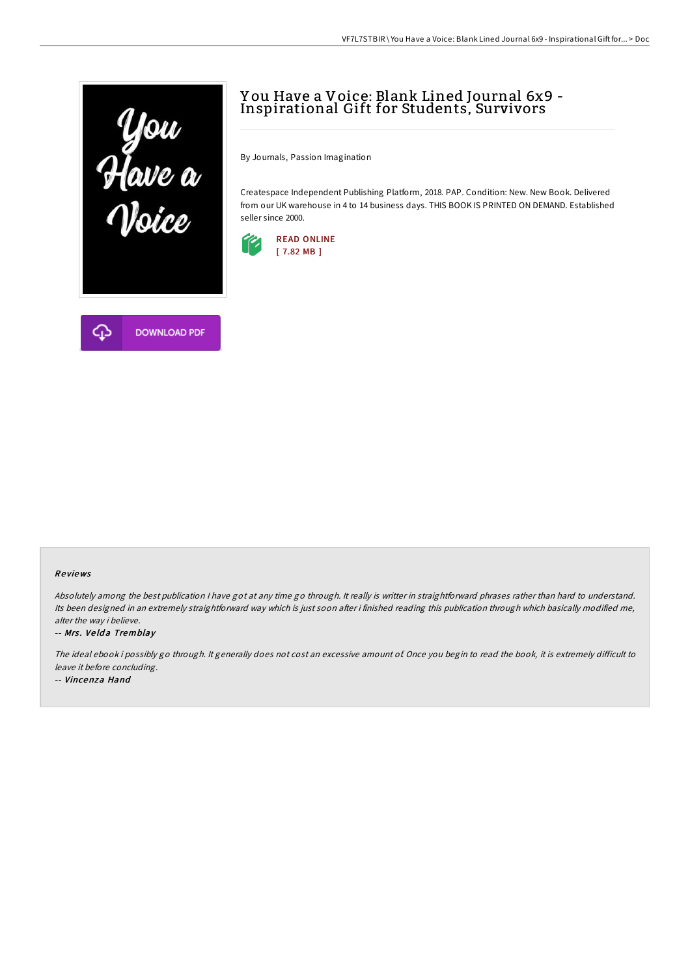

# **DOWNLOAD PDF**

## Y ou Have a Voice: Blank Lined Journal 6x9 - Inspirational Gift for Students, Survivors

By Journals, Passion Imagination

Createspace Independent Publishing Platform, 2018. PAP. Condition: New. New Book. Delivered from our UK warehouse in 4 to 14 business days. THIS BOOK IS PRINTED ON DEMAND. Established seller since 2000.



## Re views

Absolutely among the best publication <sup>I</sup> have got at any time go through. It really is writter in straightforward phrases rather than hard to understand. Its been designed in an extremely straightforward way which is just soon after i finished reading this publication through which basically modified me, alter the way i believe.

### -- Mrs. Velda Tremblay

The ideal ebook i possibly go through. It generally does not cost an excessive amount of. Once you begin to read the book, it is extremely difficult to leave it before concluding.

-- Vincenza Hand